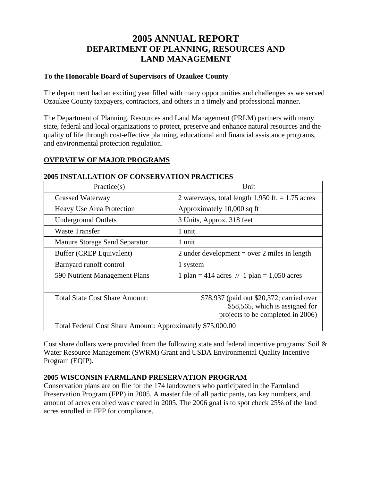# **2005 ANNUAL REPORT DEPARTMENT OF PLANNING, RESOURCES AND LAND MANAGEMENT**

### **To the Honorable Board of Supervisors of Ozaukee County**

The department had an exciting year filled with many opportunities and challenges as we served Ozaukee County taxpayers, contractors, and others in a timely and professional manner.

The Department of Planning, Resources and Land Management (PRLM) partners with many state, federal and local organizations to protect, preserve and enhance natural resources and the quality of life through cost-effective planning, educational and financial assistance programs, and environmental protection regulation.

# **OVERVIEW OF MAJOR PROGRAMS**

| Practice(s)                                                | Unit                                                                                                              |  |  |
|------------------------------------------------------------|-------------------------------------------------------------------------------------------------------------------|--|--|
| <b>Grassed Waterway</b>                                    | 2 waterways, total length $1,950$ ft. = 1.75 acres                                                                |  |  |
| Heavy Use Area Protection                                  | Approximately 10,000 sq ft                                                                                        |  |  |
| <b>Underground Outlets</b>                                 | 3 Units, Approx. 318 feet                                                                                         |  |  |
| Waste Transfer                                             | 1 unit                                                                                                            |  |  |
| Manure Storage Sand Separator                              | 1 unit                                                                                                            |  |  |
| Buffer (CREP Equivalent)                                   | 2 under development = over 2 miles in length                                                                      |  |  |
| Barnyard runoff control                                    | 1 system                                                                                                          |  |  |
| 590 Nutrient Management Plans                              | 1 plan = 414 acres // 1 plan = 1,050 acres                                                                        |  |  |
|                                                            |                                                                                                                   |  |  |
| Total State Cost Share Amount:                             | \$78,937 (paid out \$20,372; carried over<br>\$58,565, which is assigned for<br>projects to be completed in 2006) |  |  |
| Total Federal Cost Share Amount: Approximately \$75,000.00 |                                                                                                                   |  |  |

#### **2005 INSTALLATION OF CONSERVATION PRACTICES**

Cost share dollars were provided from the following state and federal incentive programs: Soil  $\&$ Water Resource Management (SWRM) Grant and USDA Environmental Quality Incentive Program (EQIP).

### **2005 WISCONSIN FARMLAND PRESERVATION PROGRAM**

Conservation plans are on file for the 174 landowners who participated in the Farmland Preservation Program (FPP) in 2005. A master file of all participants, tax key numbers, and amount of acres enrolled was created in 2005. The 2006 goal is to spot check 25% of the land acres enrolled in FPP for compliance.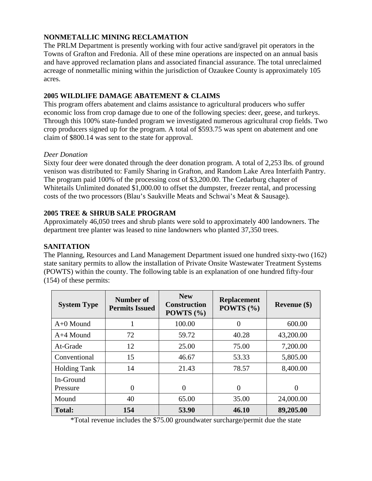# **NONMETALLIC MINING RECLAMATION**

The PRLM Department is presently working with four active sand/gravel pit operators in the Towns of Grafton and Fredonia. All of these mine operations are inspected on an annual basis and have approved reclamation plans and associated financial assurance. The total unreclaimed acreage of nonmetallic mining within the jurisdiction of Ozaukee County is approximately 105 acres.

# **2005 WILDLIFE DAMAGE ABATEMENT & CLAIMS**

This program offers abatement and claims assistance to agricultural producers who suffer economic loss from crop damage due to one of the following species: deer, geese, and turkeys. Through this 100% state-funded program we investigated numerous agricultural crop fields. Two crop producers signed up for the program. A total of \$593.75 was spent on abatement and one claim of \$800.14 was sent to the state for approval.

### *Deer Donation*

Sixty four deer were donated through the deer donation program. A total of 2,253 lbs. of ground venison was distributed to: Family Sharing in Grafton, and Random Lake Area Interfaith Pantry. The program paid 100% of the processing cost of \$3,200.00. The Cedarburg chapter of Whitetails Unlimited donated \$1,000.00 to offset the dumpster, freezer rental, and processing costs of the two processors (Blau's Saukville Meats and Schwai's Meat & Sausage).

# **2005 TREE & SHRUB SALE PROGRAM**

Approximately 46,050 trees and shrub plants were sold to approximately 400 landowners. The department tree planter was leased to nine landowners who planted 37,350 trees.

# **SANITATION**

The Planning, Resources and Land Management Department issued one hundred sixty-two (162) state sanitary permits to allow the installation of Private Onsite Wastewater Treatment Systems (POWTS) within the county. The following table is an explanation of one hundred fifty-four (154) of these permits:

| <b>System Type</b>    | Number of<br><b>Permits Issued</b> | <b>New</b><br><b>Construction</b><br>POWTS $(\% )$ | <b>Replacement</b><br>POWTS $(\% )$ | Revenue $(\$)$ |
|-----------------------|------------------------------------|----------------------------------------------------|-------------------------------------|----------------|
| $A+0$ Mound           |                                    | 100.00                                             | 0                                   | 600.00         |
| $A+4$ Mound           | 72                                 | 59.72                                              | 40.28                               | 43,200.00      |
| At-Grade              | 12                                 | 25.00                                              | 75.00                               | 7,200.00       |
| Conventional          | 15                                 | 46.67                                              | 53.33                               | 5,805.00       |
| <b>Holding Tank</b>   | 14                                 | 21.43                                              | 78.57                               | 8,400.00       |
| In-Ground<br>Pressure | $\overline{0}$                     | $\Omega$                                           | 0                                   | $\theta$       |
| Mound                 | 40                                 | 65.00                                              | 35.00                               | 24,000.00      |
| <b>Total:</b>         | 154                                | 53.90                                              | 46.10                               | 89,205.00      |

\*Total revenue includes the \$75.00 groundwater surcharge/permit due the state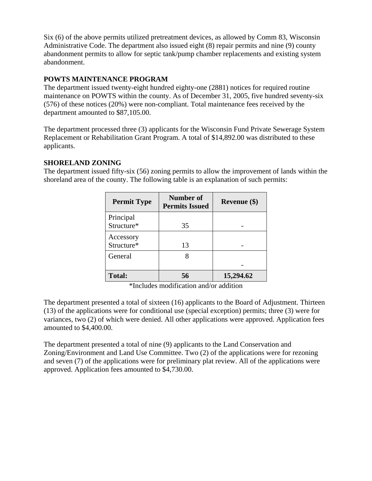Six (6) of the above permits utilized pretreatment devices, as allowed by Comm 83, Wisconsin Administrative Code. The department also issued eight (8) repair permits and nine (9) county abandonment permits to allow for septic tank/pump chamber replacements and existing system abandonment.

#### **POWTS MAINTENANCE PROGRAM**

The department issued twenty-eight hundred eighty-one (2881) notices for required routine maintenance on POWTS within the county. As of December 31, 2005, five hundred seventy-six (576) of these notices (20%) were non-compliant. Total maintenance fees received by the department amounted to \$87,105.00.

The department processed three (3) applicants for the Wisconsin Fund Private Sewerage System Replacement or Rehabilitation Grant Program. A total of \$14,892.00 was distributed to these applicants.

#### **SHORELAND ZONING**

The department issued fifty-six (56) zoning permits to allow the improvement of lands within the shoreland area of the county. The following table is an explanation of such permits:

| <b>Permit Type</b>      | Number of<br><b>Permits Issued</b> | Revenue (\$) |
|-------------------------|------------------------------------|--------------|
| Principal<br>Structure* | 35                                 |              |
| Accessory<br>Structure* | 13                                 |              |
| General                 |                                    |              |
| <b>Total:</b>           | 56                                 | 15,294.62    |

\*Includes modification and/or addition

The department presented a total of sixteen (16) applicants to the Board of Adjustment. Thirteen (13) of the applications were for conditional use (special exception) permits; three (3) were for variances, two (2) of which were denied. All other applications were approved. Application fees amounted to \$4,400.00.

The department presented a total of nine (9) applicants to the Land Conservation and Zoning/Environment and Land Use Committee. Two (2) of the applications were for rezoning and seven (7) of the applications were for preliminary plat review. All of the applications were approved. Application fees amounted to \$4,730.00.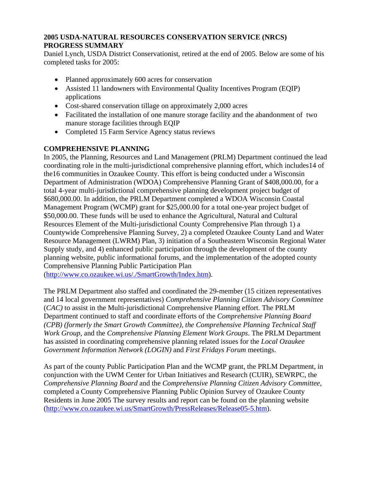# **2005 USDA-NATURAL RESOURCES CONSERVATION SERVICE (NRCS) PROGRESS SUMMARY**

Daniel Lynch, USDA District Conservationist, retired at the end of 2005. Below are some of his completed tasks for 2005:

- Planned approximately 600 acres for conservation
- Assisted 11 landowners with Environmental Quality Incentives Program (EQIP) applications
- Cost-shared conservation tillage on approximately 2,000 acres
- Facilitated the installation of one manure storage facility and the abandonment of two manure storage facilities through EQIP
- Completed 15 Farm Service Agency status reviews

# **COMPREHENSIVE PLANNING**

In 2005, the Planning, Resources and Land Management (PRLM) Department continued the lead coordinating role in the multi-jurisdictional comprehensive planning effort, which includes14 of the16 communities in Ozaukee County. This effort is being conducted under a Wisconsin Department of Administration (WDOA) Comprehensive Planning Grant of \$408,000.00, for a total 4-year multi-jurisdictional comprehensive planning development project budget of \$680,000.00. In addition, the PRLM Department completed a WDOA Wisconsin Coastal Management Program (WCMP) grant for \$25,000.00 for a total one-year project budget of \$50,000.00. These funds will be used to enhance the Agricultural, Natural and Cultural Resources Element of the Multi-jurisdictional County Comprehensive Plan through 1) a Countywide Comprehensive Planning Survey, 2) a completed Ozaukee County Land and Water Resource Management (LWRM) Plan, 3) initiation of a Southeastern Wisconsin Regional Water Supply study, and 4) enhanced public participation through the development of the county planning website, public informational forums, and the implementation of the adopted county Comprehensive Planning Public Participation Plan

(http://www.co.ozaukee.wi.us/./SmartGrowth/Index.htm).

The PRLM Department also staffed and coordinated the 29-member (15 citizen representatives and 14 local government representatives) *Comprehensive Planning Citizen Advisory Committee* (*CAC)* to assist in the Multi-jurisdictional Comprehensive Planning effort. The PRLM Department continued to staff and coordinate efforts of the *Comprehensive Planning Board (CPB) (formerly the Smart Growth Committee), the Comprehensive Planning Technical Staff Work Group,* and the *Comprehensive Planning Element Work Groups*. The PRLM Department has assisted in coordinating comprehensive planning related issues for the *Local Ozaukee Government Information Network (LOGIN)* and *First Fridays Forum* meetings.

As part of the county Public Participation Plan and the WCMP grant, the PRLM Department, in conjunction with the UWM Center for Urban Initiatives and Research (CUIR), SEWRPC, the *Comprehensive Planning Board* and the *Comprehensive Planning Citizen Advisory Committee*, completed a County Comprehensive Planning Public Opinion Survey of Ozaukee County Residents in June 2005 The survey results and report can be found on the planning website (http://www.co.ozaukee.wi.us/SmartGrowth/PressReleases/Release05-5.htm).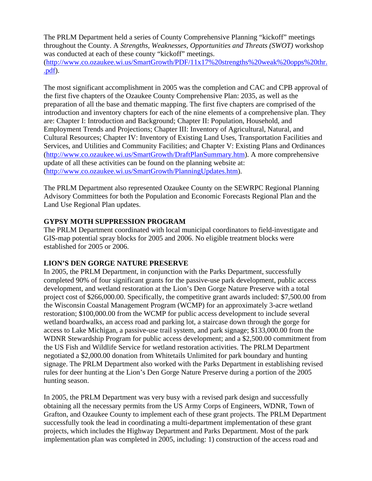The PRLM Department held a series of County Comprehensive Planning "kickoff" meetings throughout the County. A *Strengths, Weaknesses, Opportunities and Threats (SWOT)* workshop was conducted at each of these county "kickoff" meetings.

(http://www.co.ozaukee.wi.us/SmartGrowth/PDF/11x17%20strengths%20weak%20opps%20thr. .pdf).

The most significant accomplishment in 2005 was the completion and CAC and CPB approval of the first five chapters of the Ozaukee County Comprehensive Plan: 2035, as well as the preparation of all the base and thematic mapping. The first five chapters are comprised of the introduction and inventory chapters for each of the nine elements of a comprehensive plan. They are: Chapter I: Introduction and Background; Chapter II: Population, Household, and Employment Trends and Projections; Chapter III: Inventory of Agricultural, Natural, and Cultural Resources; Chapter IV: Inventory of Existing Land Uses, Transportation Facilities and Services, and Utilities and Community Facilities; and Chapter V: Existing Plans and Ordinances (http://www.co.ozaukee.wi.us/SmartGrowth/DraftPlanSummary.htm). A more comprehensive update of all these activities can be found on the planning website at: (http://www.co.ozaukee.wi.us/SmartGrowth/PlanningUpdates.htm).

The PRLM Department also represented Ozaukee County on the SEWRPC Regional Planning Advisory Committees for both the Population and Economic Forecasts Regional Plan and the Land Use Regional Plan updates.

### **GYPSY MOTH SUPPRESSION PROGRAM**

The PRLM Department coordinated with local municipal coordinators to field-investigate and GIS-map potential spray blocks for 2005 and 2006. No eligible treatment blocks were established for 2005 or 2006.

### **LION'S DEN GORGE NATURE PRESERVE**

In 2005, the PRLM Department, in conjunction with the Parks Department, successfully completed 90% of four significant grants for the passive-use park development, public access development, and wetland restoration at the Lion's Den Gorge Nature Preserve with a total project cost of \$266,000.00. Specifically, the competitive grant awards included: \$7,500.00 from the Wisconsin Coastal Management Program (WCMP) for an approximately 3-acre wetland restoration; \$100,000.00 from the WCMP for public access development to include several wetland boardwalks, an access road and parking lot, a staircase down through the gorge for access to Lake Michigan, a passive-use trail system, and park signage; \$133,000.00 from the WDNR Stewardship Program for public access development; and a \$2,500.00 commitment from the US Fish and Wildlife Service for wetland restoration activities. The PRLM Department negotiated a \$2,000.00 donation from Whitetails Unlimited for park boundary and hunting signage. The PRLM Department also worked with the Parks Department in establishing revised rules for deer hunting at the Lion's Den Gorge Nature Preserve during a portion of the 2005 hunting season.

In 2005, the PRLM Department was very busy with a revised park design and successfully obtaining all the necessary permits from the US Army Corps of Engineers, WDNR, Town of Grafton, and Ozaukee County to implement each of these grant projects. The PRLM Department successfully took the lead in coordinating a multi-department implementation of these grant projects, which includes the Highway Department and Parks Department. Most of the park implementation plan was completed in 2005, including: 1) construction of the access road and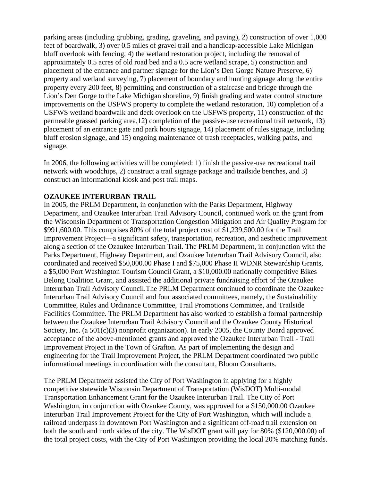parking areas (including grubbing, grading, graveling, and paving), 2) construction of over 1,000 feet of boardwalk, 3) over 0.5 miles of gravel trail and a handicap-accessible Lake Michigan bluff overlook with fencing, 4) the wetland restoration project, including the removal of approximately 0.5 acres of old road bed and a 0.5 acre wetland scrape, 5) construction and placement of the entrance and partner signage for the Lion's Den Gorge Nature Preserve, 6) property and wetland surveying, 7) placement of boundary and hunting signage along the entire property every 200 feet, 8) permitting and construction of a staircase and bridge through the Lion's Den Gorge to the Lake Michigan shoreline, 9) finish grading and water control structure improvements on the USFWS property to complete the wetland restoration, 10) completion of a USFWS wetland boardwalk and deck overlook on the USFWS property, 11) construction of the permeable grassed parking area,12) completion of the passive-use recreational trail network, 13) placement of an entrance gate and park hours signage, 14) placement of rules signage, including bluff erosion signage, and 15) ongoing maintenance of trash receptacles, walking paths, and signage.

In 2006, the following activities will be completed: 1) finish the passive-use recreational trail network with woodchips, 2) construct a trail signage package and trailside benches, and 3) construct an informational kiosk and post trail maps.

#### **OZAUKEE INTERURBAN TRAIL**

In 2005, the PRLM Department, in conjunction with the Parks Department, Highway Department, and Ozaukee Interurban Trail Advisory Council, continued work on the grant from the Wisconsin Department of Transportation Congestion Mitigation and Air Quality Program for \$991,600.00. This comprises 80% of the total project cost of \$1,239,500.00 for the Trail Improvement Project—a significant safety, transportation, recreation, and aesthetic improvement along a section of the Ozaukee Interurban Trail. The PRLM Department, in conjunction with the Parks Department, Highway Department, and Ozaukee Interurban Trail Advisory Council, also coordinated and received \$50,000.00 Phase I and \$75,000 Phase II WDNR Stewardship Grants, a \$5,000 Port Washington Tourism Council Grant, a \$10,000.00 nationally competitive Bikes Belong Coalition Grant, and assisted the additional private fundraising effort of the Ozaukee Interurban Trail Advisory Council.The PRLM Department continued to coordinate the Ozaukee Interurban Trail Advisory Council and four associated committees, namely, the Sustainability Committee, Rules and Ordinance Committee, Trail Promotions Committee, and Trailside Facilities Committee. The PRLM Department has also worked to establish a formal partnership between the Ozaukee Interurban Trail Advisory Council and the Ozaukee County Historical Society, Inc. (a 501(c)(3) nonprofit organization). In early 2005, the County Board approved acceptance of the above-mentioned grants and approved the Ozaukee Interurban Trail - Trail Improvement Project in the Town of Grafton. As part of implementing the design and engineering for the Trail Improvement Project, the PRLM Department coordinated two public informational meetings in coordination with the consultant, Bloom Consultants.

The PRLM Department assisted the City of Port Washington in applying for a highly competitive statewide Wisconsin Department of Transportation (WisDOT) Multi-modal Transportation Enhancement Grant for the Ozaukee Interurban Trail. The City of Port Washington, in conjunction with Ozaukee County, was approved for a \$150,000.00 Ozaukee Interurban Trail Improvement Project for the City of Port Washington, which will include a railroad underpass in downtown Port Washington and a significant off-road trail extension on both the south and north sides of the city. The WisDOT grant will pay for 80% (\$120,000.00) of the total project costs, with the City of Port Washington providing the local 20% matching funds.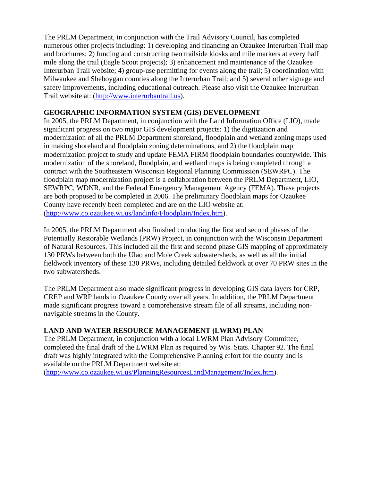The PRLM Department, in conjunction with the Trail Advisory Council, has completed numerous other projects including: 1) developing and financing an Ozaukee Interurban Trail map and brochures; 2) funding and constructing two trailside kiosks and mile markers at every half mile along the trail (Eagle Scout projects); 3) enhancement and maintenance of the Ozaukee Interurban Trail website; 4) group-use permitting for events along the trail; 5) coordination with Milwaukee and Sheboygan counties along the Interurban Trail; and 5) several other signage and safety improvements, including educational outreach. Please also visit the Ozaukee Interurban Trail website at: (http://www.interurbantrail.us).

## **GEOGRAPHIC INFORMATION SYSTEM (GIS) DEVELOPMENT**

In 2005, the PRLM Department, in conjunction with the Land Information Office (LIO), made significant progress on two major GIS development projects: 1) the digitization and modernization of all the PRLM Department shoreland, floodplain and wetland zoning maps used in making shoreland and floodplain zoning determinations, and 2) the floodplain map modernization project to study and update FEMA FIRM floodplain boundaries countywide. This modernization of the shoreland, floodplain, and wetland maps is being completed through a contract with the Southeastern Wisconsin Regional Planning Commission (SEWRPC). The floodplain map modernization project is a collaboration between the PRLM Department, LIO, SEWRPC, WDNR, and the Federal Emergency Management Agency (FEMA). These projects are both proposed to be completed in 2006. The preliminary floodplain maps for Ozaukee County have recently been completed and are on the LIO website at: (http://www.co.ozaukee.wi.us/landinfo/Floodplain/Index.htm).

In 2005, the PRLM Department also finished conducting the first and second phases of the Potentially Restorable Wetlands (PRW) Project, in conjunction with the Wisconsin Department of Natural Resources. This included all the first and second phase GIS mapping of approximately 130 PRWs between both the Ulao and Mole Creek subwatersheds, as well as all the initial fieldwork inventory of these 130 PRWs, including detailed fieldwork at over 70 PRW sites in the two subwatersheds.

The PRLM Department also made significant progress in developing GIS data layers for CRP, CREP and WRP lands in Ozaukee County over all years. In addition, the PRLM Department made significant progress toward a comprehensive stream file of all streams, including nonnavigable streams in the County.

# **LAND AND WATER RESOURCE MANAGEMENT (LWRM) PLAN**

The PRLM Department, in conjunction with a local LWRM Plan Advisory Committee, completed the final draft of the LWRM Plan as required by Wis. Stats. Chapter 92. The final draft was highly integrated with the Comprehensive Planning effort for the county and is available on the PRLM Department website at:

(http://www.co.ozaukee.wi.us/PlanningResourcesLandManagement/Index.htm).